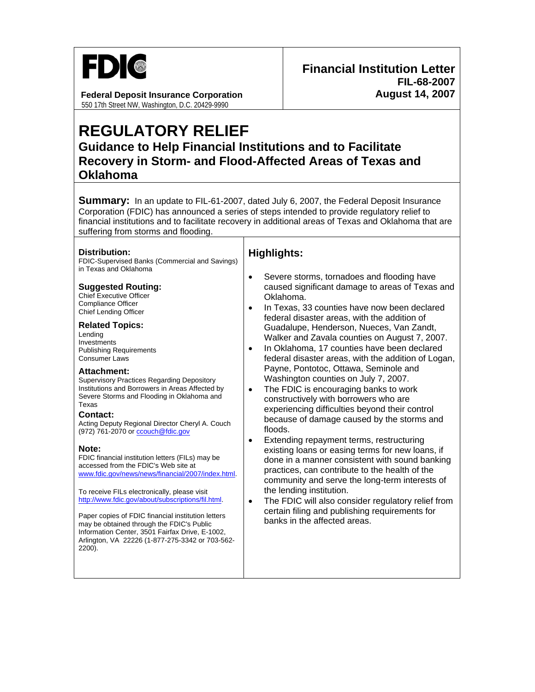

**Federal Deposit Insurance Corporation Federal Deposition August 14, 2007** 550 17th Street NW, Washington, D.C. 20429-9990

# **REGULATORY RELIEF**

**Guidance to Help Financial Institutions and to Facilitate Recovery in Storm- and Flood-Affected Areas of Texas and Oklahoma** 

**Summary:** In an update to FIL-61-2007, dated July 6, 2007, the Federal Deposit Insurance Corporation (FDIC) has announced a series of steps intended to provide regulatory relief to financial institutions and to facilitate recovery in additional areas of Texas and Oklahoma that are suffering from storms and flooding.

#### **Distribution:**

FDIC-Supervised Banks (Commercial and Savings) in Texas and Oklahoma

#### **Suggested Routing:**

Chief Executive Officer Compliance Officer Chief Lending Officer

#### **Related Topics:**

Lending Investments Publishing Requirements Consumer Laws

#### **Attachment:**

Supervisory Practices Regarding Depository Institutions and Borrowers in Areas Affected by Severe Storms and Flooding in Oklahoma and Texas

#### **Contact:**

Acting Deputy Regional Director Cheryl A. Couch (972) 761-2070 or [ccouch@fdic.gov](mailto:ccouch@fdic.gov)

#### **Note:**

FDIC financial institution letters (FILs) may be accessed from the FDIC's Web site at [www.fdic.gov/news/news/financial/2007/index.html](http://www.fdic.gov/news/news/financial/2006/index.html).

To receive FILs electronically, please visit [http://www.fdic.gov/about/subscriptions/fil.html.](http://www.fdic.gov/about/subscriptions/index.html)

Paper copies of FDIC financial institution letters may be obtained through the FDIC's Public Information Center, 3501 Fairfax Drive, E-1002, Arlington, VA 22226 (1-877-275-3342 or 703-562- 2200).

## **Highlights:**

- Severe storms, tornadoes and flooding have caused significant damage to areas of Texas and Oklahoma.
- In Texas, 33 counties have now been declared federal disaster areas, with the addition of Guadalupe, Henderson, Nueces, Van Zandt, Walker and Zavala counties on August 7, 2007.
- In Oklahoma, 17 counties have been declared federal disaster areas, with the addition of Logan, Payne, Pontotoc, Ottawa, Seminole and Washington counties on July 7, 2007.
- The FDIC is encouraging banks to work constructively with borrowers who are experiencing difficulties beyond their control because of damage caused by the storms and floods.
- Extending repayment terms, restructuring existing loans or easing terms for new loans, if done in a manner consistent with sound banking practices, can contribute to the health of the community and serve the long-term interests of the lending institution.
- The FDIC will also consider regulatory relief from certain filing and publishing requirements for banks in the affected areas.